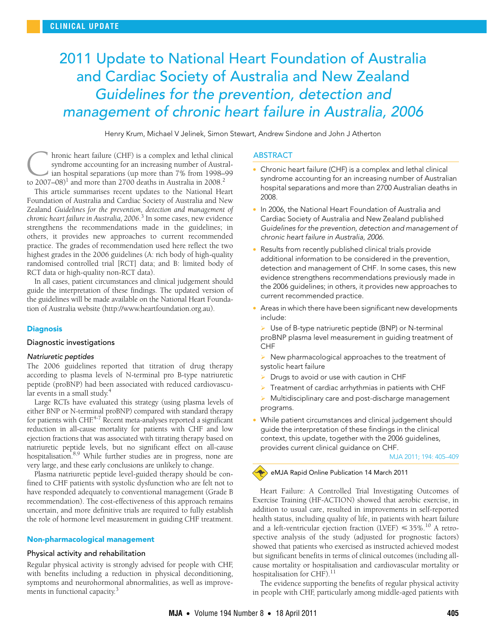# <span id="page-0-0"></span>2011 Update to National Heart Foundation of Australia and Cardiac Society of Australia and New Zealand Guidelines for the prevention, detection and management of chronic heart failure in Australia, 2006

Henry Krum, Michael V Jelinek, Simon Stewart, Andrew Sindone and John J Atherton

hronic heart failure (CHF) is a complex and lethal clinical syndrome accounting for an increasing number of Australian hospital separations (up more than 7% from 1998–99 kronic heart failure (CHF) is a complex and lethal clinic syndrome accounting for an increasing number of Australia in 2008-<br>to 2007–08<sup>)[1](#page-3-0)</sup> and more than 2700 deaths in Australia in 2008<sup>2</sup>

practice. The grades of recommendation used here reflect the two processes the grades of the commissionality also also tend in the case of the contract of the process of high-quality or graces in the 2000 galactifies (1), hen bod randomised controlled trial [RCT] data; and B: limited body of RCT data or high-quality non-RCT data). This article summarises recent updates to the National Heart Foundation of Australia and Cardiac Society of Australia and New Zealand *Guidelines for the prevention, detection and management of chronic heart failure in Australia, 2006*. [3](#page-3-2) In some cases, new evidence strengthens the recommendations made in the guidelines; in others, it provides new approaches to current recommended

In all cases, patient circumstances and clinical judgement should guide the interpretation of these findings. The updated version of the guidelines will be made available on the National Heart Foundation of Australia website (http://www.heartfoundation.org.au).

#### **Diagnosis**

### Diagnostic investigations

#### Natriuretic peptides

The 2006 guidelines reported that titration of drug therapy according to plasma levels of N-terminal pro B-type natriuretic peptide (proBNP) had been associated with reduced cardiovascu-lar events in a small study.<sup>[4](#page-4-0)</sup>

Large RCTs have evaluated this strategy (using plasma levels of either BNP or N-terminal proBNP) compared with standard therapy for patients with CHF.<sup>4-[7](#page-4-1)</sup> Recent meta-analyses reported a significant reduction in all-cause mortality for patients with CHF and low ejection fractions that was associated with titrating therapy based on natriuretic peptide levels, but no significant effect on all-cause hospitalisation[.8](#page-4-2)[,9](#page-4-3) While further studies are in progress, none are very large, and these early conclusions are unlikely to change.

Plasma natriuretic peptide level-guided therapy should be confined to CHF patients with systolic dysfunction who are felt not to have responded adequately to conventional management (Grade B recommendation). The cost-effectiveness of this approach remains uncertain, and more definitive trials are required to fully establish the role of hormone level measurement in guiding CHF treatment.

#### Non-pharmacological management

#### Physical activity and rehabilitation

Regular physical activity is strongly advised for people with CHF, with benefits including a reduction in physical deconditioning, symptoms and neurohormonal abnormalities, as well as improve-ments in functional capacity.<sup>[3](#page-3-2)</sup>

#### **ABSTRACT**

- Chronic heart failure (CHF) is a complex and lethal clinical syndrome accounting for an increasing number of Australian hospital separations and more than 2700 Australian deaths in 2008.
- In 2006, the National Heart Foundation of Australia and Cardiac Society of Australia and New Zealand published Guidelines for the prevention, detection and management of chronic heart failure in Australia, 2006.
- Results from recently published clinical trials provide additional information to be considered in the prevention, detection and management of CHF. In some cases, this new evidence strengthens recommendations previously made in the 2006 guidelines; in others, it provides new approaches to current recommended practice.
- Areas in which there have been significant new developments include:

 $\triangleright$  Use of B-type natriuretic peptide (BNP) or N-terminal proBNP plasma level measurement in guiding treatment of **CHF** 

- New pharmacological approaches to the treatment of systolic heart failure
- $\triangleright$  Drugs to avoid or use with caution in CHF
- $\triangleright$  Treatment of cardiac arrhythmias in patients with CHF
- Multidisciplinary care and post-discharge management programs.
- While patient circumstances and clinical judgement should guide the interpretation of these findings in the clinical context, this update, together with the 2006 guidelines, provides current clinical guidance on CHF.

MJA 2011; 194: 405–409

# eMJA Rapid Online Publication 14 March 2011

Heart Failure: A Controlled Trial Investigating Outcomes of Exercise Training (HF-ACTION) showed that aerobic exercise, in addition to usual care, resulted in improvements in self-reported health status, including quality of life, in patients with heart failure and a left-ventricular ejection fraction (LVEF)  $\leqslant$  35%. $^{10}$  A retrospective analysis of the study (adjusted for prognostic factors) showed that patients who exercised as instructed achieved modest but significant benefits in terms of clinical outcomes (including allcause mortality or hospitalisation and cardiovascular mortality or hospitalisation for CHF).<sup>[11](#page-4-5)</sup>

The evidence supporting the benefits of regular physical activity in people with CHF, particularly among middle-aged patients with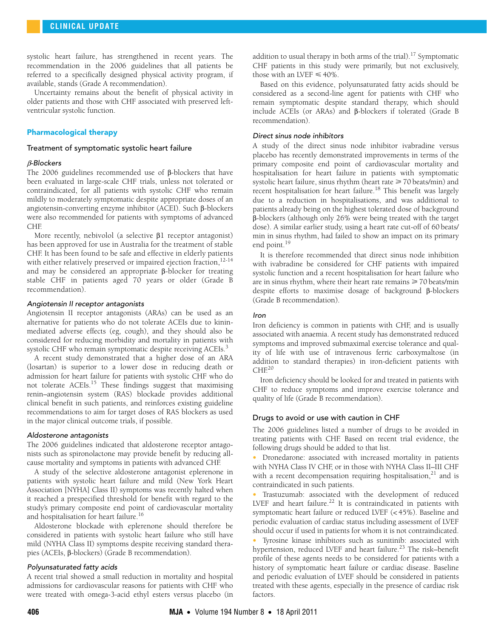systolic heart failure, has strengthened in recent years. The recommendation in the 2006 guidelines that all patients be referred to a specifically designed physical activity program, if available, stands (Grade A recommendation).

Uncertainty remains about the benefit of physical activity in older patients and those with CHF associated with preserved leftventricular systolic function.

# Pharmacological therapy

#### Treatment of symptomatic systolic heart failure

### β-Blockers

The 2006 guidelines recommended use of β-blockers that have been evaluated in large-scale CHF trials, unless not tolerated or contraindicated, for all patients with systolic CHF who remain mildly to moderately symptomatic despite appropriate doses of an angiotensin-converting enzyme inhibitor (ACEI). Such β-blockers were also recommended for patients with symptoms of advanced CHF.

More recently, nebivolol (a selective β1 receptor antagonist) has been approved for use in Australia for the treatment of stable CHF. It has been found to be safe and effective in elderly patients with either relatively preserved or impaired ejection fraction,  $12-14$  $12-14$ and may be considered an appropriate β-blocker for treating stable CHF in patients aged 70 years or older (Grade B recommendation).

### Angiotensin II receptor antagonists

Angiotensin II receptor antagonists (ARAs) can be used as an alternative for patients who do not tolerate ACEIs due to kininmediated adverse effects (eg, cough), and they should also be considered for reducing morbidity and mortality in patients with systolic CHF who remain symptomatic despite receiving ACEIs.<sup>[3](#page-3-2)</sup>

A recent study demonstrated that a higher dose of an ARA (losartan) is superior to a lower dose in reducing death or admission for heart failure for patients with systolic CHF who do not tolerate ACEIs.<sup>15</sup> These findings suggest that maximising renin–angiotensin system (RAS) blockade provides additional clinical benefit in such patients, and reinforces existing guideline recommendations to aim for target doses of RAS blockers as used in the major clinical outcome trials, if possible.

#### Aldosterone antagonists

The 2006 guidelines indicated that aldosterone receptor antagonists such as spironolactone may provide benefit by reducing allcause mortality and symptoms in patients with advanced CHF.

A study of the selective aldosterone antagonist eplerenone in patients with systolic heart failure and mild (New York Heart Association [NYHA] Class II) symptoms was recently halted when it reached a prespecified threshold for benefit with regard to the study's primary composite end point of cardiovascular mortality and hospitalisation for heart failure.[16](#page-4-10)

Aldosterone blockade with eplerenone should therefore be considered in patients with systolic heart failure who still have mild (NYHA Class II) symptoms despite receiving standard therapies (ACEIs, β-blockers) (Grade B recommendation).

# Polyunsaturated fatty acids

A recent trial showed a small reduction in mortality and hospital admissions for cardiovascular reasons for patients with CHF who were treated with omega-3-acid ethyl esters versus placebo (in

addition to usual therapy in both arms of the trial).<sup>17</sup> Symptomatic CHF patients in this study were primarily, but not exclusively, those with an LVEF  $\leq 40\%$ .

Based on this evidence, polyunsaturated fatty acids should be considered as a second-line agent for patients with CHF who remain symptomatic despite standard therapy, which should include ACEIs (or ARAs) and β-blockers if tolerated (Grade B recommendation).

#### Direct sinus node inhibitors

A study of the direct sinus node inhibitor ivabradine versus placebo has recently demonstrated improvements in terms of the primary composite end point of cardiovascular mortality and hospitalisation for heart failure in patients with symptomatic systolic heart failure, sinus rhythm (heart rate  $\geq 70$  beats/min) and recent hospitalisation for heart failure.<sup>18</sup> This benefit was largely due to a reduction in hospitalisations, and was additional to patients already being on the highest tolerated dose of background β-blockers (although only 26% were being treated with the target dose). A similar earlier study, using a heart rate cut-off of 60 beats/ min in sinus rhythm, had failed to show an impact on its primary end point.<sup>19</sup>

It is therefore recommended that direct sinus node inhibition with ivabradine be considered for CHF patients with impaired systolic function and a recent hospitalisation for heart failure who are in sinus rhythm, where their heart rate remains  $\geq 70$  beats/min despite efforts to maximise dosage of background β-blockers (Grade B recommendation).

#### Iron

Iron deficiency is common in patients with CHF, and is usually associated with anaemia. A recent study has demonstrated reduced symptoms and improved submaximal exercise tolerance and quality of life with use of intravenous ferric carboxymaltose (in addition to standard therapies) in iron-deficient patients with  $CHE<sup>20</sup>$  $CHE<sup>20</sup>$  $CHE<sup>20</sup>$ 

Iron deficiency should be looked for and treated in patients with CHF to reduce symptoms and improve exercise tolerance and quality of life (Grade B recommendation).

### Drugs to avoid or use with caution in CHF

The 2006 guidelines listed a number of drugs to be avoided in treating patients with CHF. Based on recent trial evidence, the following drugs should be added to that list.

• Dronedarone: associated with increased mortality in patients with NYHA Class IV CHF, or in those with NYHA Class II–III CHF with a recent decompensation requiring hospitalisation, $21$  and is contraindicated in such patients.

• Trastuzumab: associated with the development of reduced LVEF and heart failure.<sup>22</sup> It is contraindicated in patients with symptomatic heart failure or reduced LVEF (< 45%). Baseline and periodic evaluation of cardiac status including assessment of LVEF should occur if used in patients for whom it is not contraindicated.

• Tyrosine kinase inhibitors such as sunitinib: associated with hypertension, reduced LVEF and heart failure.<sup>23</sup> The risk–benefit profile of these agents needs to be considered for patients with a history of symptomatic heart failure or cardiac disease. Baseline and periodic evaluation of LVEF should be considered in patients treated with these agents, especially in the presence of cardiac risk factors.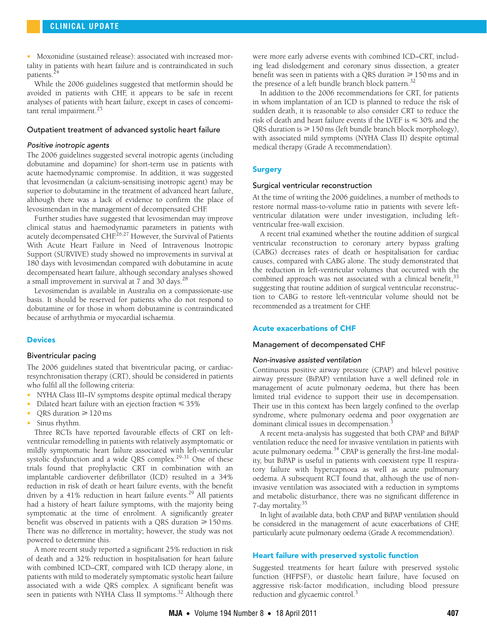• Moxonidine (sustained release): associated with increased mortality in patients with heart failure and is contraindicated in such patients[.24](#page-4-18)

While the 2006 guidelines suggested that metformin should be avoided in patients with CHF, it appears to be safe in recent analyses of patients with heart failure, except in cases of concomitant renal impairment. $^{25}$  $^{25}$  $^{25}$ 

#### Outpatient treatment of advanced systolic heart failure

#### Positive inotropic agents

The 2006 guidelines suggested several inotropic agents (including dobutamine and dopamine) for short-term use in patients with acute haemodynamic compromise. In addition, it was suggested that levosimendan (a calcium-sensitising inotropic agent) may be superior to dobutamine in the treatment of advanced heart failure, although there was a lack of evidence to confirm the place of levosimendan in the management of decompensated CHF.

Further studies have suggested that levosimendan may improve clinical status and haemodynamic parameters in patients with acutely decompensated CHF.<sup>[26](#page-4-20),27</sup> However, the Survival of Patients With Acute Heart Failure in Need of Intravenous Inotropic Support (SURVIVE) study showed no improvements in survival at 180 days with levosimendan compared with dobutamine in acute decompensated heart failure, although secondary analyses showed a small improvement in survival at 7 and 30 days.<sup>[28](#page-4-22)</sup>

Levosimendan is available in Australia on a compassionate-use basis. It should be reserved for patients who do not respond to dobutamine or for those in whom dobutamine is contraindicated because of arrhythmia or myocardial ischaemia.

#### **Devices**

#### Biventricular pacing

The 2006 guidelines stated that biventricular pacing, or cardiacresynchronisation therapy (CRT), should be considered in patients who fulfil all the following criteria:

- NYHA Class III–IV symptoms despite optimal medical therapy
- Dilated heart failure with an ejection fraction  $\leq 35\%$
- QRS duration  $\geq 120$  ms
- Sinus rhythm.

Three RCTs have reported favourable effects of CRT on leftventricular remodelling in patients with relatively asymptomatic or mildly symptomatic heart failure associated with left-ventricular systolic dysfunction and a wide QRS complex.<sup>29-[31](#page-4-24)</sup> One of these trials found that prophylactic CRT in combination with an implantable cardioverter defibrillator (ICD) resulted in a 34% reduction in risk of death or heart failure events, with the benefit driven by a  $41\%$  reduction in heart failure events.<sup>[29](#page-4-23)</sup> All patients had a history of heart failure symptoms, with the majority being symptomatic at the time of enrolment. A significantly greater benefit was observed in patients with a QRS duration  $\geq 150$  ms. There was no difference in mortality; however, the study was not powered to determine this.

A more recent study reported a significant 25% reduction in risk of death and a 32% reduction in hospitalisation for heart failure with combined ICD–CRT, compared with ICD therapy alone, in patients with mild to moderately symptomatic systolic heart failure associated with a wide QRS complex. A significant benefit was seen in patients with NYHA Class II symptoms.<sup>32</sup> Although there

were more early adverse events with combined ICD–CRT, including lead dislodgement and coronary sinus dissection, a greater benefit was seen in patients with a QRS duration  $\geq 150$  ms and in the presence of a left bundle branch block pattern.<sup>32</sup>

In addition to the 2006 recommendations for CRT, for patients in whom implantation of an ICD is planned to reduce the risk of sudden death, it is reasonable to also consider CRT to reduce the risk of death and heart failure events if the LVEF is  $\leqslant$  30% and the ORS duration is  $\geq 150$  ms (left bundle branch block morphology), with associated mild symptoms (NYHA Class II) despite optimal medical therapy (Grade A recommendation).

#### **Surgery**

# Surgical ventricular reconstruction

At the time of writing the 2006 guidelines, a number of methods to restore normal mass-to-volume ratio in patients with severe leftventricular dilatation were under investigation, including leftventricular free-wall excision.

A recent trial examined whether the routine addition of surgical ventricular reconstruction to coronary artery bypass grafting (CABG) decreases rates of death or hospitalisation for cardiac causes, compared with CABG alone. The study demonstrated that the reduction in left-ventricular volumes that occurred with the combined approach was not associated with a clinical benefit,  $33$ suggesting that routine addition of surgical ventricular reconstruction to CABG to restore left-ventricular volume should not be recommended as a treatment for CHF.

### Acute exacerbations of CHF

#### Management of decompensated CHF

#### Non-invasive assisted ventilation

Continuous positive airway pressure (CPAP) and bilevel positive airway pressure (BiPAP) ventilation have a well defined role in management of acute pulmonary oedema, but there has been limited trial evidence to support their use in decompensation. Their use in this context has been largely confined to the overlap syndrome, where pulmonary oedema and poor oxygenation are dominant clinical issues in decompensation.<sup>3</sup>

A recent meta-analysis has suggested that both CPAP and BiPAP ventilation reduce the need for invasive ventilation in patients with acute pulmonary oedema.<sup>34</sup> CPAP is generally the first-line modality, but BiPAP is useful in patients with coexistent type II respiratory failure with hypercapnoea as well as acute pulmonary oedema. A subsequent RCT found that, although the use of noninvasive ventilation was associated with a reduction in symptoms and metabolic disturbance, there was no significant difference in 7-day mortality.[35](#page-4-28)

In light of available data, both CPAP and BiPAP ventilation should be considered in the management of acute exacerbations of CHF, particularly acute pulmonary oedema (Grade A recommendation).

#### Heart failure with preserved systolic function

Suggested treatments for heart failure with preserved systolic function (HFPSF), or diastolic heart failure, have focused on aggressive risk-factor modification, including blood pressure reduction and glycaemic control.<sup>3</sup>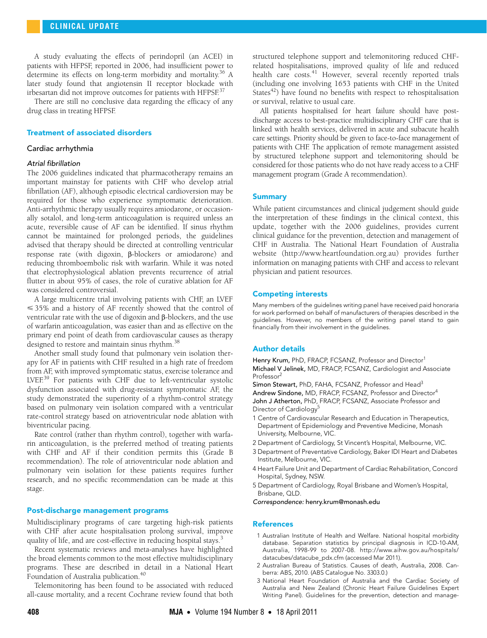A study evaluating the effects of perindopril (an ACEI) in patients with HFPSF, reported in 2006, had insufficient power to determine its effects on long-term morbidity and mortality.<sup>36</sup> A later study found that angiotensin II receptor blockade with irbesartan did not improve outcomes for patients with HFPSF.<sup>[37](#page-4-30)</sup>

There are still no conclusive data regarding the efficacy of any drug class in treating HFPSF.

# Treatment of associated disorders

#### Cardiac arrhythmia

#### Atrial fibrillation

The 2006 guidelines indicated that pharmacotherapy remains an important mainstay for patients with CHF who develop atrial fibrillation (AF), although episodic electrical cardioversion may be required for those who experience symptomatic deterioration. Anti-arrhythmic therapy usually requires amiodarone, or occasionally sotalol, and long-term anticoagulation is required unless an acute, reversible cause of AF can be identified. If sinus rhythm cannot be maintained for prolonged periods, the guidelines advised that therapy should be directed at controlling ventricular response rate (with digoxin, β-blockers or amiodarone) and reducing thromboembolic risk with warfarin. While it was noted that electrophysiological ablation prevents recurrence of atrial flutter in about 95% of cases, the role of curative ablation for AF was considered controversial.

A large multicentre trial involving patients with CHF, an LVEF - 35% and a history of AF recently showed that the control of ventricular rate with the use of digoxin and β-blockers, and the use of warfarin anticoagulation, was easier than and as effective on the primary end point of death from cardiovascular causes as therapy designed to restore and maintain sinus rhythm.<sup>[38](#page-4-31)</sup>

Another small study found that pulmonary vein isolation therapy for AF in patients with CHF resulted in a high rate of freedom from AF, with improved symptomatic status, exercise tolerance and LVEF.[39](#page-4-32) For patients with CHF due to left-ventricular systolic dysfunction associated with drug-resistant symptomatic AF, the study demonstrated the superiority of a rhythm-control strategy based on pulmonary vein isolation compared with a ventricular rate-control strategy based on atrioventricular node ablation with biventricular pacing.

Rate control (rather than rhythm control), together with warfarin anticoagulation, is the preferred method of treating patients with CHF and AF if their condition permits this (Grade B recommendation). The role of atrioventricular node ablation and pulmonary vein isolation for these patients requires further research, and no specific recommendation can be made at this stage.

#### Post-discharge management programs

Multidisciplinary programs of care targeting high-risk patients with CHF after acute hospitalisation prolong survival, improve quality of life, and are cost-effective in reducing hospital stays.<sup>[3](#page-3-2)</sup>

Recent systematic reviews and meta-analyses have highlighted the broad elements common to the most effective multidisciplinary programs. These are described in detail in a National Heart Foundation of Australia publication.<sup>40</sup>

Telemonitoring has been found to be associated with reduced all-cause mortality, and a recent Cochrane review found that both

structured telephone support and telemonitoring reduced CHFrelated hospitalisations, improved quality of life and reduced health care costs.<sup>41</sup> However, several recently reported trials (including one involving 1653 patients with CHF in the United States $42$ ) have found no benefits with respect to rehospitalisation or survival, relative to usual care.

All patients hospitalised for heart failure should have postdischarge access to best-practice multidisciplinary CHF care that is linked with health services, delivered in acute and subacute health care settings. Priority should be given to face-to-face management of patients with CHF. The application of remote management assisted by structured telephone support and telemonitoring should be considered for those patients who do not have ready access to a CHF management program (Grade A recommendation).

#### **Summary**

While patient circumstances and clinical judgement should guide the interpretation of these findings in the clinical context, this update, together with the 2006 guidelines, provides current clinical guidance for the prevention, detection and management of CHF in Australia. The National Heart Foundation of Australia website (http://www.heartfoundation.org.au) provides further information on managing patients with CHF and access to relevant physician and patient resources.

#### Competing interests

Many members of the guidelines writing panel have received paid honoraria for work performed on behalf of manufacturers of therapies described in the guidelines. However, no members of the writing panel stand to gain financially from their involvement in the guidelines.

#### Author details

Henry Krum, PhD, FRACP, FCSANZ, Professor and Director<sup>1</sup> Michael V Jelinek, MD, FRACP, FCSANZ, Cardiologist and Associate Professor2

Simon Stewart, PhD, FAHA, FCSANZ, Professor and Head<sup>3</sup> Andrew Sindone, MD, FRACP, FCSANZ, Professor and Director<sup>4</sup> John J Atherton, PhD, FRACP, FCSANZ, Associate Professor and Director of Cardiology<sup>5</sup>

- 1 Centre of Cardiovascular Research and Education in Therapeutics, Department of Epidemiology and Preventive Medicine, Monash University, Melbourne, VIC.
- 2 Department of Cardiology, St Vincent's Hospital, Melbourne, VIC.
- 3 Department of Preventative Cardiology, Baker IDI Heart and Diabetes Institute, Melbourne, VIC.
- 4 Heart Failure Unit and Department of Cardiac Rehabilitation, Concord Hospital, Sydney, NSW.
- 5 Department of Cardiology, Royal Brisbane and Women's Hospital, Brisbane, QLD.
- Correspondence: henry.krum@monash.edu

#### References

- <span id="page-3-0"></span>1 Australian Institute of Health and Welfare. National hospital morbidity database. Separation statistics by principal diagnosis in ICD-10-AM, Australia, 1998-99 to 2007-08. http://www.aihw.gov.au/hospitals/ datacubes/datacube\_pdx.cfm (accessed Mar 2011).
- <span id="page-3-1"></span>2 Australian Bureau of Statistics. Causes of death, Australia, 2008. Canberra: ABS, 2010. (ABS Catalogue No. 3303.0.)
- <span id="page-3-2"></span>3 National Heart Foundation of Australia and the Cardiac Society of Australia and New Zealand (Chronic Heart Failure Guidelines Expert Writing Panel). Guidelines for the prevention, detection and manage-